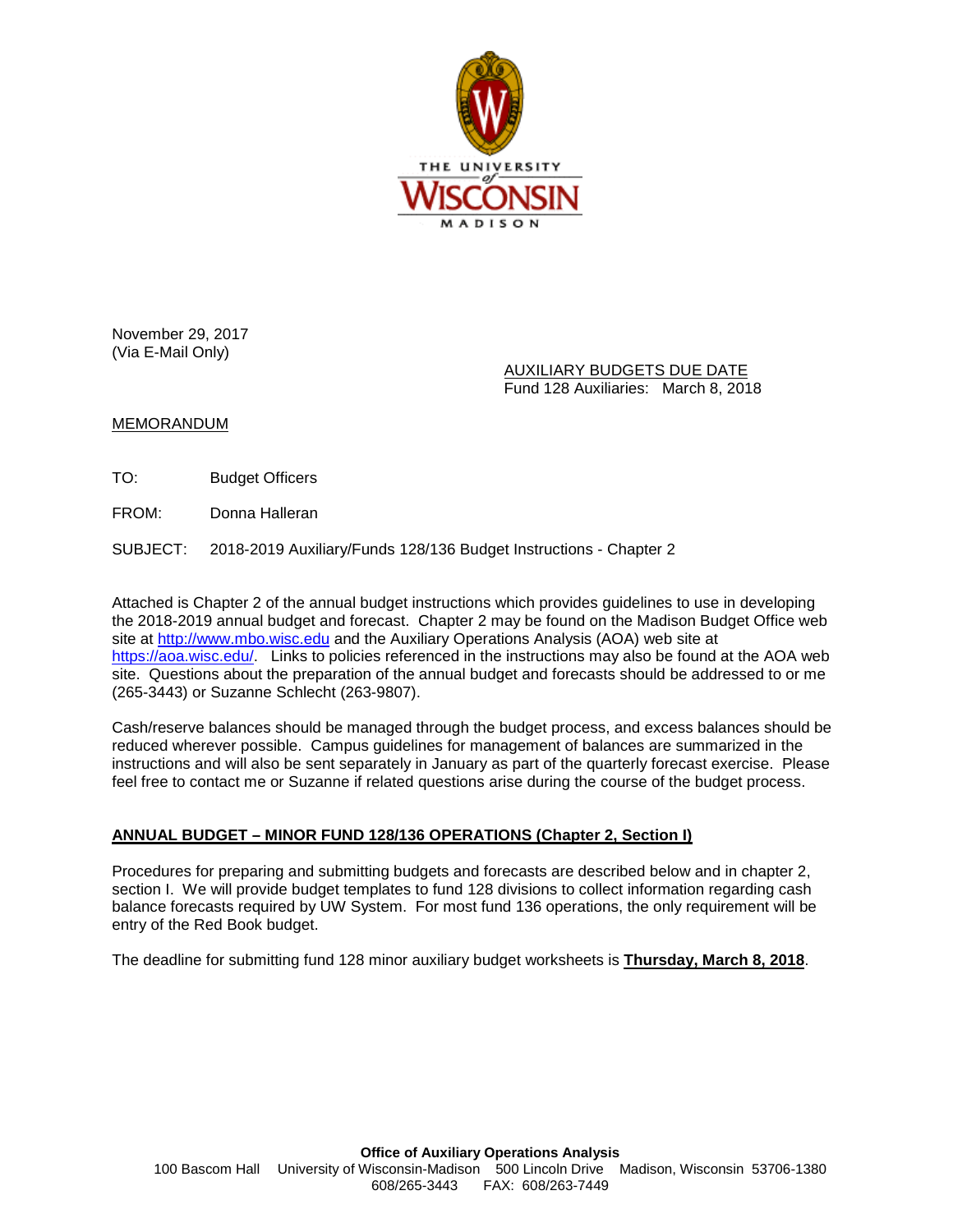

November 29, 2017 (Via E-Mail Only)

> AUXILIARY BUDGETS DUE DATE Fund 128 Auxiliaries: March 8, 2018

## MEMORANDUM

TO: Budget Officers

FROM: Donna Halleran

SUBJECT: 2018-2019 Auxiliary/Funds 128/136 Budget Instructions - Chapter 2

Attached is Chapter 2 of the annual budget instructions which provides guidelines to use in developing the 2018-2019 annual budget and forecast. Chapter 2 may be found on the Madison Budget Office web site at [http://www.mbo.wisc.edu](http://www.mbo.wisc.edu/) and the Auxiliary Operations Analysis (AOA) web site at [https://aoa.wisc.edu/.](https://aoa.wisc.edu/) Links to policies referenced in the instructions may also be found at the AOA web site. Questions about the preparation of the annual budget and forecasts should be addressed to or me (265-3443) or Suzanne Schlecht (263-9807).

Cash/reserve balances should be managed through the budget process, and excess balances should be reduced wherever possible. Campus guidelines for management of balances are summarized in the instructions and will also be sent separately in January as part of the quarterly forecast exercise. Please feel free to contact me or Suzanne if related questions arise during the course of the budget process.

## **ANNUAL BUDGET – MINOR FUND 128/136 OPERATIONS (Chapter 2, Section I)**

Procedures for preparing and submitting budgets and forecasts are described below and in chapter 2, section I. We will provide budget templates to fund 128 divisions to collect information regarding cash balance forecasts required by UW System. For most fund 136 operations, the only requirement will be entry of the Red Book budget.

The deadline for submitting fund 128 minor auxiliary budget worksheets is **Thursday, March 8, 2018**.